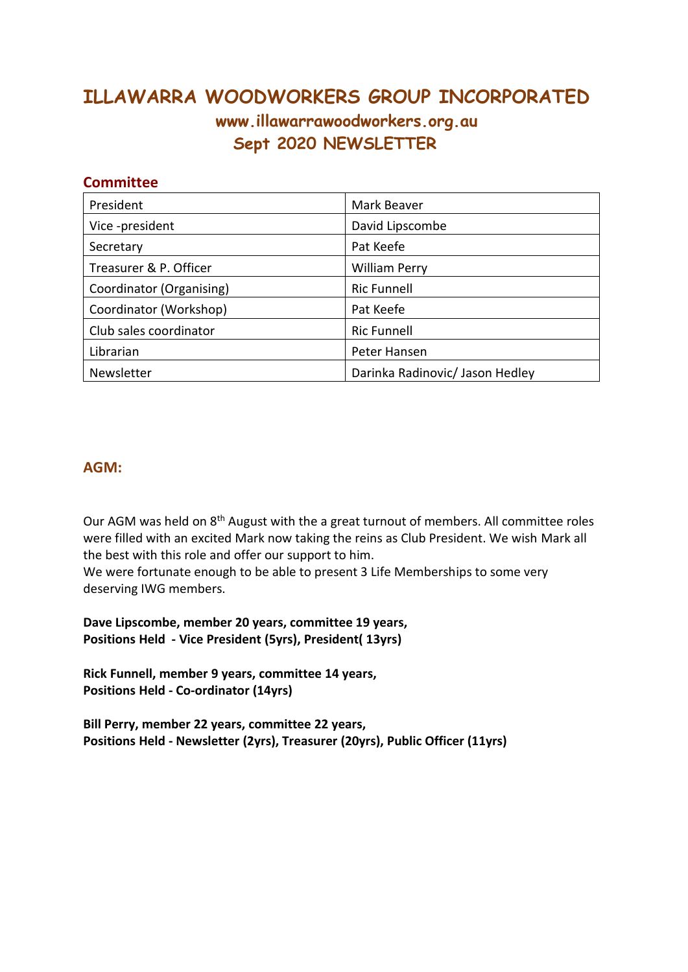# **ILLAWARRA WOODWORKERS GROUP INCORPORATED www.illawarrawoodworkers.org.au Sept 2020 NEWSLETTER**

#### **Committee**

| President                | Mark Beaver                     |
|--------------------------|---------------------------------|
| Vice-president           | David Lipscombe                 |
| Secretary                | Pat Keefe                       |
| Treasurer & P. Officer   | <b>William Perry</b>            |
| Coordinator (Organising) | <b>Ric Funnell</b>              |
| Coordinator (Workshop)   | Pat Keefe                       |
| Club sales coordinator   | <b>Ric Funnell</b>              |
| Librarian                | Peter Hansen                    |
| Newsletter               | Darinka Radinovic/ Jason Hedley |

#### **AGM:**

Our AGM was held on 8<sup>th</sup> August with the a great turnout of members. All committee roles were filled with an excited Mark now taking the reins as Club President. We wish Mark all the best with this role and offer our support to him.

We were fortunate enough to be able to present 3 Life Memberships to some very deserving IWG members.

**Dave Lipscombe, member 20 years, committee 19 years, Positions Held - Vice President (5yrs), President( 13yrs)**

**Rick Funnell, member 9 years, committee 14 years, Positions Held - Co-ordinator (14yrs)**

**Bill Perry, member 22 years, committee 22 years, Positions Held - Newsletter (2yrs), Treasurer (20yrs), Public Officer (11yrs)**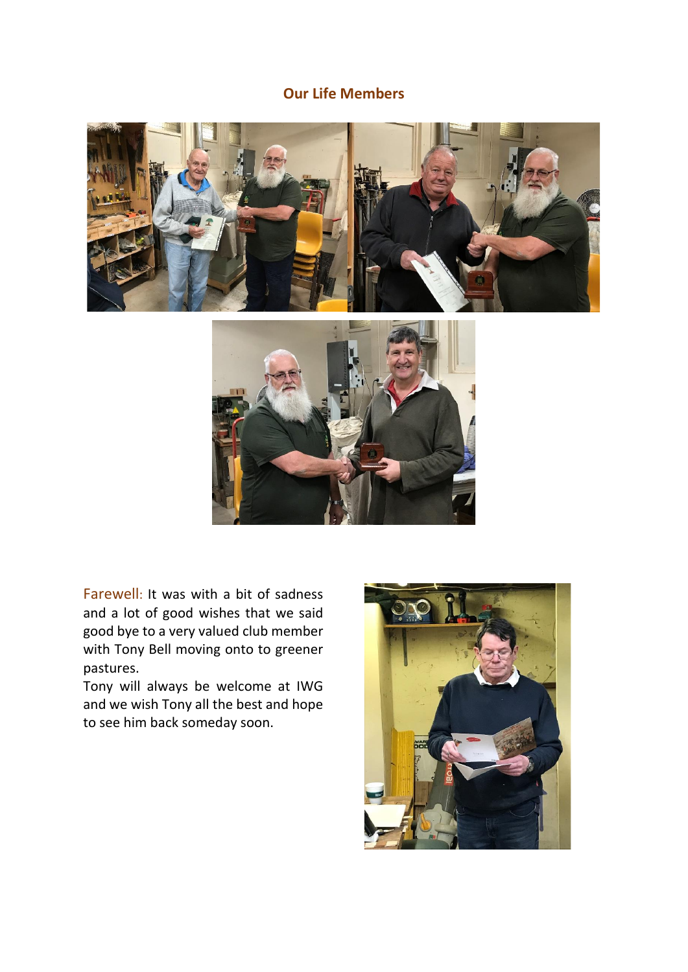## **Our Life Members**



Farewell: It was with a bit of sadness and a lot of good wishes that we said good bye to a very valued club member with Tony Bell moving onto to greener pastures.

Tony will always be welcome at IWG and we wish Tony all the best and hope to see him back someday soon.

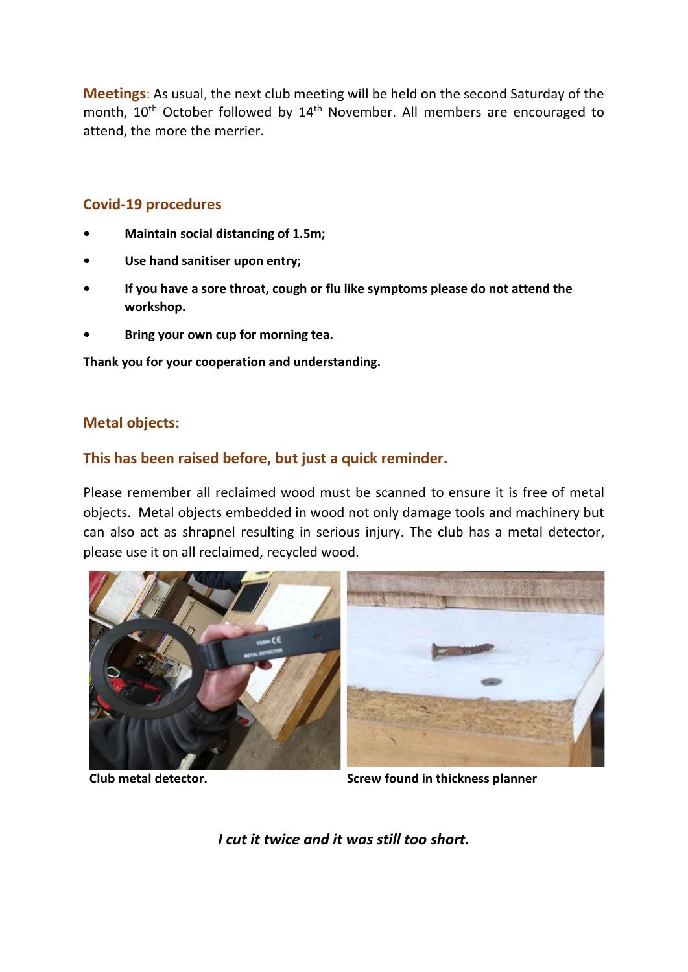**Meetings**: As usual, the next club meeting will be held on the second Saturday of the month, 10<sup>th</sup> October followed by 14<sup>th</sup> November. All members are encouraged to attend, the more the merrier.

### **Covid-19 procedures**

- **• Maintain social distancing of 1.5m;**
- **• Use hand sanitiser upon entry;**
- **• If you have a sore throat, cough or flu like symptoms please do not attend the workshop.**
- **• Bring your own cup for morning tea.**

**Thank you for your cooperation and understanding.**

### **Metal objects:**

## **This has been raised before, but just a quick reminder.**

Please remember all reclaimed wood must be scanned to ensure it is free of metal objects. Metal objects embedded in wood not only damage tools and machinery but can also act as shrapnel resulting in serious injury. The club has a metal detector, please use it on all reclaimed, recycled wood.



**Club metal detector. Screw found in thickness planner**

*I cut it twice and it was still too short.*